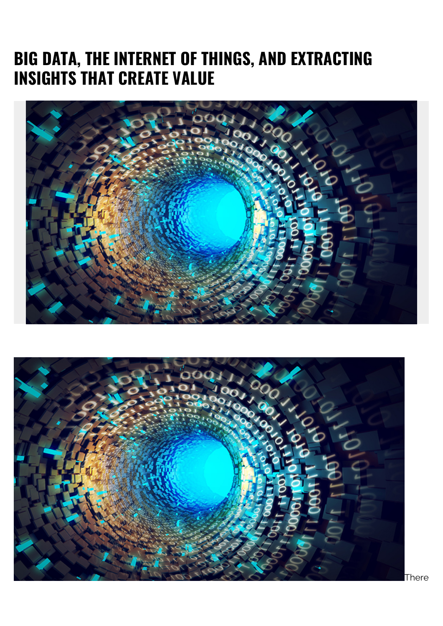## **BIG DATA, THE INTERNET OF THINGS, AND EXTRACTING INSIGHTS THAT CREATE VALUE**